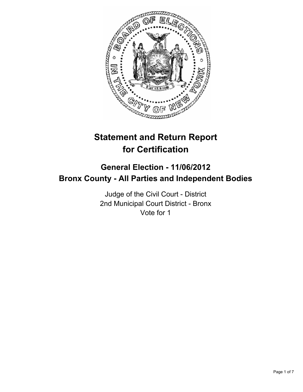

# **Statement and Return Report for Certification**

## **General Election - 11/06/2012 Bronx County - All Parties and Independent Bodies**

Judge of the Civil Court - District 2nd Municipal Court District - Bronx Vote for 1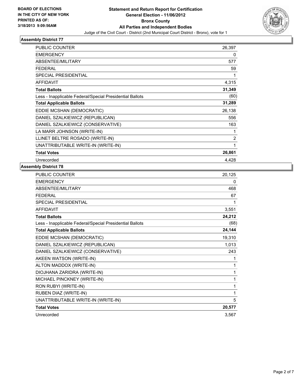

| PUBLIC COUNTER                                           | 26,397         |
|----------------------------------------------------------|----------------|
| <b>EMERGENCY</b>                                         | 0              |
| ABSENTEE/MILITARY                                        | 577            |
| <b>FEDERAL</b>                                           | 59             |
| <b>SPECIAL PRESIDENTIAL</b>                              | 1              |
| <b>AFFIDAVIT</b>                                         | 4,315          |
| <b>Total Ballots</b>                                     | 31,349         |
| Less - Inapplicable Federal/Special Presidential Ballots | (60)           |
| <b>Total Applicable Ballots</b>                          | 31,289         |
| EDDIE MCSHAN (DEMOCRATIC)                                | 26,138         |
| DANIEL SZALKIEWICZ (REPUBLICAN)                          | 556            |
| DANIEL SZALKIEWICZ (CONSERVATIVE)                        | 163            |
| LA MARR JOHNSON (WRITE-IN)                               | 1              |
| LLINET BELTRE ROSADO (WRITE-IN)                          | $\overline{2}$ |
| UNATTRIBUTABLE WRITE-IN (WRITE-IN)                       | 1              |
| <b>Total Votes</b>                                       | 26,861         |
| Unrecorded                                               | 4,428          |

| <b>PUBLIC COUNTER</b>                                    | 20,125 |
|----------------------------------------------------------|--------|
| <b>EMERGENCY</b>                                         | 0      |
| ABSENTEE/MILITARY                                        | 468    |
| <b>FEDERAL</b>                                           | 67     |
| SPECIAL PRESIDENTIAL                                     | 1      |
| <b>AFFIDAVIT</b>                                         | 3,551  |
| <b>Total Ballots</b>                                     | 24,212 |
| Less - Inapplicable Federal/Special Presidential Ballots | (68)   |
| <b>Total Applicable Ballots</b>                          | 24,144 |
| EDDIE MCSHAN (DEMOCRATIC)                                | 19,310 |
| DANIEL SZALKIEWICZ (REPUBLICAN)                          | 1,013  |
| DANIEL SZALKIEWICZ (CONSERVATIVE)                        | 243    |
| AKEEN WATSON (WRITE-IN)                                  | 1      |
| ALTON MADDOX (WRITE-IN)                                  | 1      |
| DIOJHANA ZARIDRA (WRITE-IN)                              | 1      |
| MICHAEL PINCKNEY (WRITE-IN)                              | 1      |
| RON RUBYI (WRITE-IN)                                     | 1      |
| RUBEN DIAZ (WRITE-IN)                                    | 1      |
| UNATTRIBUTABLE WRITE-IN (WRITE-IN)                       | 5      |
| <b>Total Votes</b>                                       | 20,577 |
| Unrecorded                                               | 3,567  |
|                                                          |        |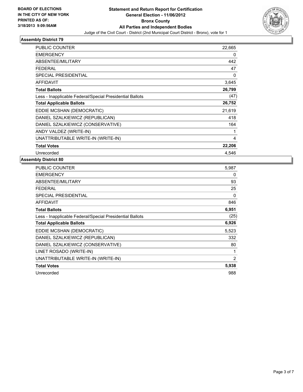

| PUBLIC COUNTER                                           | 22,665 |
|----------------------------------------------------------|--------|
| <b>EMERGENCY</b>                                         | 0      |
| ABSENTEE/MILITARY                                        | 442    |
| <b>FEDERAL</b>                                           | 47     |
| <b>SPECIAL PRESIDENTIAL</b>                              | 0      |
| <b>AFFIDAVIT</b>                                         | 3,645  |
| <b>Total Ballots</b>                                     | 26,799 |
| Less - Inapplicable Federal/Special Presidential Ballots | (47)   |
| <b>Total Applicable Ballots</b>                          | 26,752 |
| EDDIE MCSHAN (DEMOCRATIC)                                | 21,619 |
| DANIEL SZALKIEWICZ (REPUBLICAN)                          | 418    |
| DANIEL SZALKIEWICZ (CONSERVATIVE)                        | 164    |
| ANDY VALDEZ (WRITE-IN)                                   | 1      |
| UNATTRIBUTABLE WRITE-IN (WRITE-IN)                       | 4      |
| <b>Total Votes</b>                                       | 22,206 |
| Unrecorded                                               | 4.546  |

| <b>PUBLIC COUNTER</b>                                    | 5,987 |
|----------------------------------------------------------|-------|
| <b>EMERGENCY</b>                                         | 0     |
| ABSENTEE/MILITARY                                        | 93    |
| <b>FEDERAL</b>                                           | 25    |
| SPECIAL PRESIDENTIAL                                     | 0     |
| AFFIDAVIT                                                | 846   |
| <b>Total Ballots</b>                                     | 6,951 |
| Less - Inapplicable Federal/Special Presidential Ballots | (25)  |
| <b>Total Applicable Ballots</b>                          | 6,926 |
| EDDIE MCSHAN (DEMOCRATIC)                                | 5,523 |
| DANIEL SZALKIEWICZ (REPUBLICAN)                          | 332   |
| DANIEL SZALKIEWICZ (CONSERVATIVE)                        | 80    |
| LINET ROSADO (WRITE-IN)                                  | 1     |
| UNATTRIBUTABLE WRITE-IN (WRITE-IN)                       | 2     |
|                                                          |       |
| <b>Total Votes</b>                                       | 5,938 |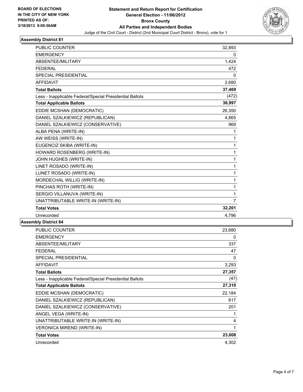

| <b>PUBLIC COUNTER</b>                                    | 32,893         |
|----------------------------------------------------------|----------------|
| <b>EMERGENCY</b>                                         | 0              |
| ABSENTEE/MILITARY                                        | 1,424          |
| <b>FEDERAL</b>                                           | 472            |
| <b>SPECIAL PRESIDENTIAL</b>                              | 0              |
| <b>AFFIDAVIT</b>                                         | 2,680          |
| <b>Total Ballots</b>                                     | 37,469         |
| Less - Inapplicable Federal/Special Presidential Ballots | (472)          |
| <b>Total Applicable Ballots</b>                          | 36,997         |
| EDDIE MCSHAN (DEMOCRATIC)                                | 26,350         |
| DANIEL SZALKIEWICZ (REPUBLICAN)                          | 4,865          |
| DANIEL SZALKIEWICZ (CONSERVATIVE)                        | 969            |
| ALBA PENA (WRITE-IN)                                     | 1              |
| AW WEISS (WRITE-IN)                                      | 1              |
| EUGENCIZ SKIBA (WRITE-IN)                                | 1              |
| HOWARD ROSENBERG (WRITE-IN)                              | 1              |
| JOHN HUGHES (WRITE-IN)                                   | 1              |
| LINET ROSADO (WRITE-IN)                                  | 1              |
| LUNET ROSADO (WRITE-IN)                                  | 1              |
| MORDECHAL WILLIG (WRITE-IN)                              | 1              |
| PINCHAS ROTH (WRITE-IN)                                  | 1              |
| SERGIO VILLANUVA (WRITE-IN)                              | 1              |
| UNATTRIBUTABLE WRITE-IN (WRITE-IN)                       | $\overline{7}$ |
| <b>Total Votes</b>                                       | 32,201         |
| Unrecorded                                               | 4,796          |
|                                                          |                |

| PUBLIC COUNTER                                           | 23,680 |
|----------------------------------------------------------|--------|
| <b>EMERGENCY</b>                                         | 0      |
| ABSENTEE/MILITARY                                        | 337    |
| <b>FEDERAL</b>                                           | 47     |
| <b>SPECIAL PRESIDENTIAL</b>                              | 0      |
| <b>AFFIDAVIT</b>                                         | 3,293  |
| <b>Total Ballots</b>                                     | 27,357 |
| Less - Inapplicable Federal/Special Presidential Ballots | (47)   |
| <b>Total Applicable Ballots</b>                          | 27,310 |
| EDDIE MCSHAN (DEMOCRATIC)                                | 22,184 |
| DANIEL SZALKIEWICZ (REPUBLICAN)                          | 617    |
| DANIEL SZALKIEWICZ (CONSERVATIVE)                        | 201    |
| ANGEL VEGA (WRITE-IN)                                    | 1      |
| UNATTRIBUTABLE WRITE-IN (WRITE-IN)                       | 4      |
| <b>VERONICA MIREND (WRITE-IN)</b>                        | 1      |
| <b>Total Votes</b>                                       | 23,008 |
| Unrecorded                                               | 4,302  |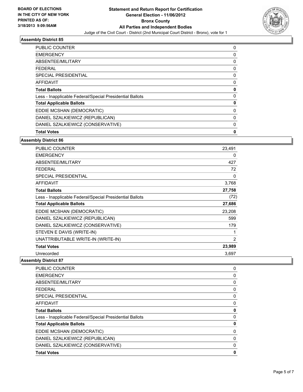

| <b>PUBLIC COUNTER</b>                                    | 0 |
|----------------------------------------------------------|---|
| <b>EMERGENCY</b>                                         | 0 |
| ABSENTEE/MILITARY                                        | 0 |
| <b>FEDERAL</b>                                           | 0 |
| SPECIAL PRESIDENTIAL                                     | 0 |
| <b>AFFIDAVIT</b>                                         | 0 |
| <b>Total Ballots</b>                                     | 0 |
| Less - Inapplicable Federal/Special Presidential Ballots | 0 |
| <b>Total Applicable Ballots</b>                          | 0 |
| EDDIE MCSHAN (DEMOCRATIC)                                | 0 |
| DANIEL SZALKIEWICZ (REPUBLICAN)                          | 0 |
| DANIEL SZALKIEWICZ (CONSERVATIVE)                        | 0 |
| <b>Total Votes</b>                                       | 0 |

#### **Assembly District 86**

| <b>PUBLIC COUNTER</b>                                    | 23,491         |
|----------------------------------------------------------|----------------|
| <b>EMERGENCY</b>                                         | 0              |
| ABSENTEE/MILITARY                                        | 427            |
| <b>FEDERAL</b>                                           | 72             |
| <b>SPECIAL PRESIDENTIAL</b>                              | 0              |
| <b>AFFIDAVIT</b>                                         | 3,768          |
| <b>Total Ballots</b>                                     | 27,758         |
| Less - Inapplicable Federal/Special Presidential Ballots | (72)           |
| <b>Total Applicable Ballots</b>                          | 27,686         |
| EDDIE MCSHAN (DEMOCRATIC)                                | 23,208         |
| DANIEL SZALKIEWICZ (REPUBLICAN)                          | 599            |
| DANIEL SZALKIEWICZ (CONSERVATIVE)                        | 179            |
| STEVEN E DAVIS (WRITE-IN)                                | 1              |
| UNATTRIBUTABLE WRITE-IN (WRITE-IN)                       | $\overline{2}$ |
| <b>Total Votes</b>                                       | 23,989         |
| Unrecorded                                               | 3,697          |

| DANIEL SZALKIEWICZ (CONSERVATIVE)                        | 0           |
|----------------------------------------------------------|-------------|
| DANIEL SZALKIEWICZ (REPUBLICAN)                          | 0           |
| EDDIE MCSHAN (DEMOCRATIC)                                | 0           |
| <b>Total Applicable Ballots</b>                          | 0           |
| Less - Inapplicable Federal/Special Presidential Ballots | 0           |
| <b>Total Ballots</b>                                     | 0           |
| <b>AFFIDAVIT</b>                                         | 0           |
| SPECIAL PRESIDENTIAL                                     | 0           |
| <b>FEDERAL</b>                                           | 0           |
| ABSENTEE/MILITARY                                        | $\mathbf 0$ |
| <b>EMERGENCY</b>                                         | 0           |
| <b>PUBLIC COUNTER</b>                                    | 0           |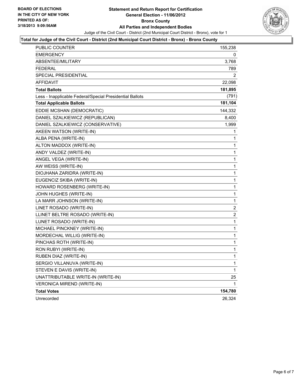

#### **Total for Judge of the Civil Court - District (2nd Municipal Court District - Bronx) - Bronx County**

| PUBLIC COUNTER                                           | 155,238 |
|----------------------------------------------------------|---------|
| <b>EMERGENCY</b>                                         | 0       |
| ABSENTEE/MILITARY                                        | 3,768   |
| <b>FEDERAL</b>                                           | 789     |
| SPECIAL PRESIDENTIAL                                     | 2       |
| AFFIDAVIT                                                | 22,098  |
| <b>Total Ballots</b>                                     | 181,895 |
| Less - Inapplicable Federal/Special Presidential Ballots | (791)   |
| <b>Total Applicable Ballots</b>                          | 181,104 |
| EDDIE MCSHAN (DEMOCRATIC)                                | 144,332 |
| DANIEL SZALKIEWICZ (REPUBLICAN)                          | 8,400   |
| DANIEL SZALKIEWICZ (CONSERVATIVE)                        | 1,999   |
| AKEEN WATSON (WRITE-IN)                                  | 1       |
| ALBA PENA (WRITE-IN)                                     | 1       |
| ALTON MADDOX (WRITE-IN)                                  | 1       |
| ANDY VALDEZ (WRITE-IN)                                   | 1       |
| ANGEL VEGA (WRITE-IN)                                    | 1       |
| AW WEISS (WRITE-IN)                                      | 1       |
| DIOJHANA ZARIDRA (WRITE-IN)                              | 1       |
| EUGENCIZ SKIBA (WRITE-IN)                                | 1       |
| HOWARD ROSENBERG (WRITE-IN)                              | 1       |
| JOHN HUGHES (WRITE-IN)                                   | 1       |
| LA MARR JOHNSON (WRITE-IN)                               | 1       |
| LINET ROSADO (WRITE-IN)                                  | 2       |
| LLINET BELTRE ROSADO (WRITE-IN)                          | 2       |
| LUNET ROSADO (WRITE-IN)                                  | 1       |
| MICHAEL PINCKNEY (WRITE-IN)                              | 1       |
| MORDECHAL WILLIG (WRITE-IN)                              | 1       |
| PINCHAS ROTH (WRITE-IN)                                  | 1       |
| RON RUBYI (WRITE-IN)                                     | 1       |
| RUBEN DIAZ (WRITE-IN)                                    | 1       |
| SERGIO VILLANUVA (WRITE-IN)                              | 1       |
| STEVEN E DAVIS (WRITE-IN)                                | 1       |
| UNATTRIBUTABLE WRITE-IN (WRITE-IN)                       | 25      |
| VERONICA MIREND (WRITE-IN)                               | 1       |
| <b>Total Votes</b>                                       | 154,780 |
| Unrecorded                                               | 26,324  |